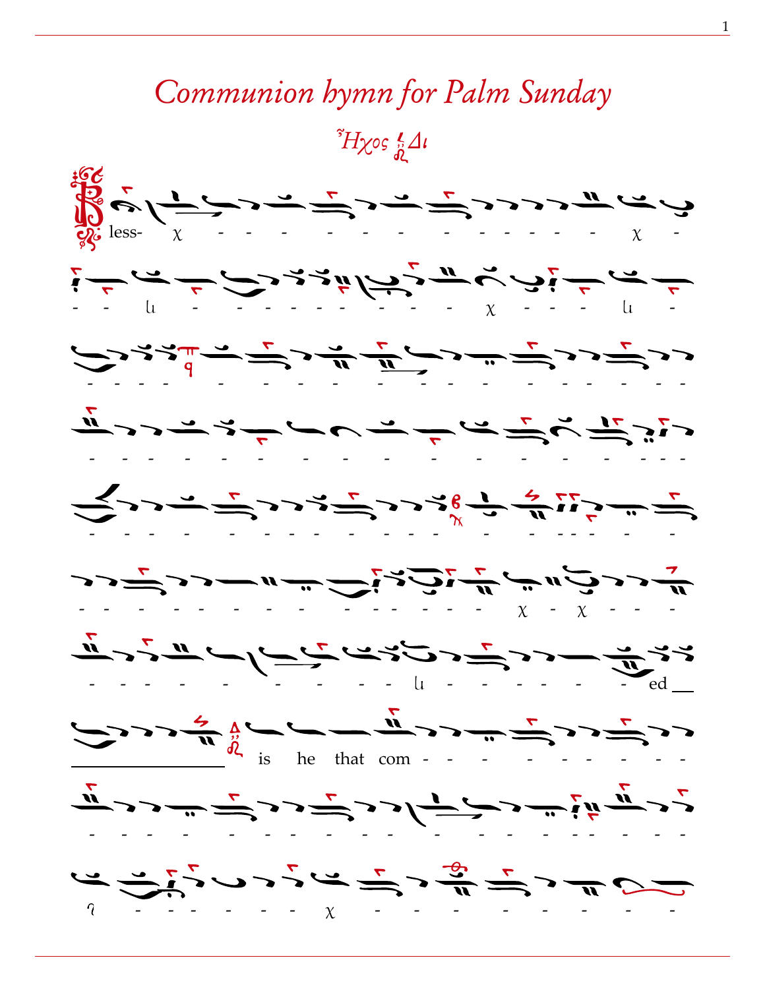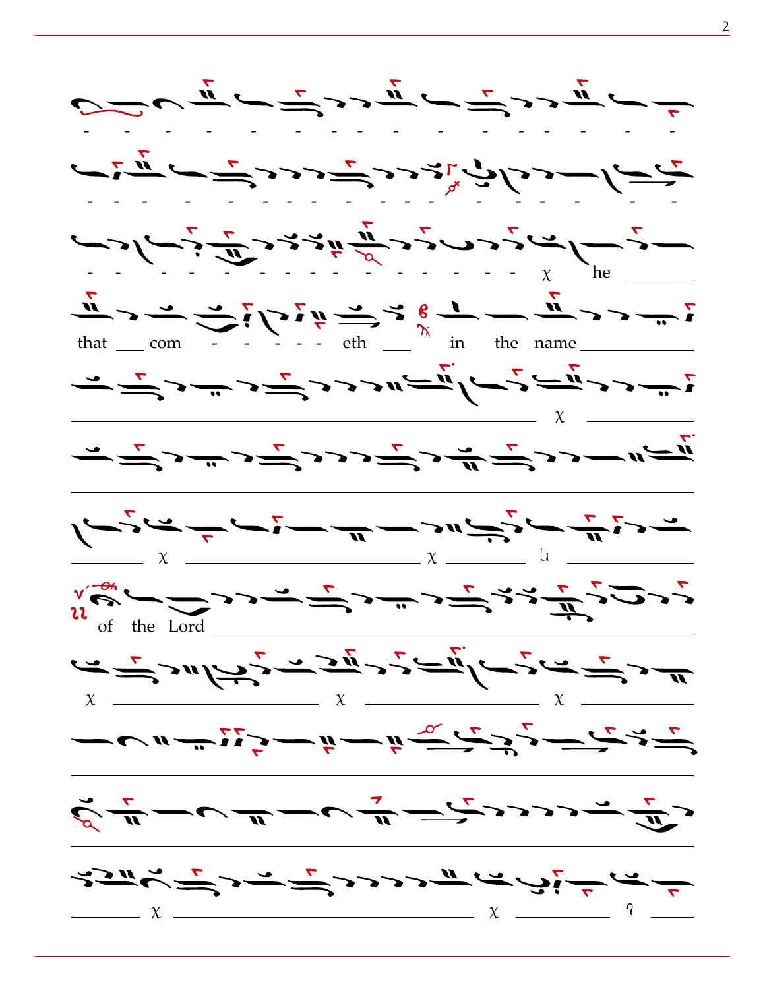